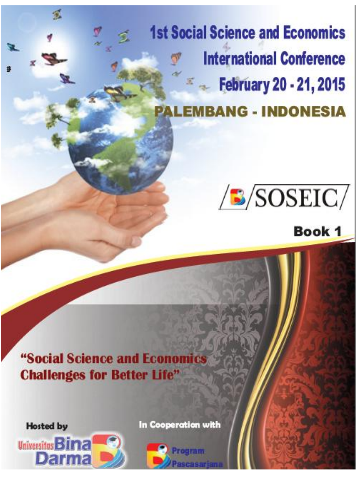**1st Social Science and Economics International Conference**  $\equiv$  February 20 - 21, 2015 **EMBANG - INDONESIA** 



# **Book 1**

"Social Science and Economics **Challenges for Better Life"** 



In Cooperation with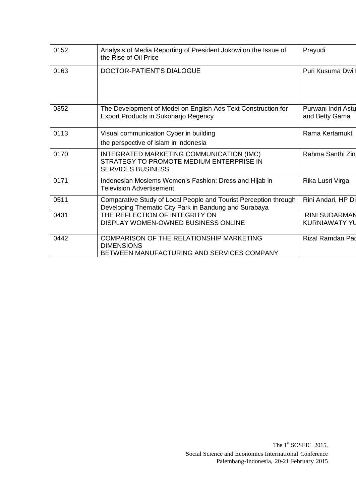| 0152 | Analysis of Media Reporting of President Jokowi on the Issue of<br>the Rise of Oil Price                                  | Prayudi                                      |
|------|---------------------------------------------------------------------------------------------------------------------------|----------------------------------------------|
| 0163 | DOCTOR-PATIENT'S DIALOGUE                                                                                                 | Puri Kusuma Dwi                              |
| 0352 | The Development of Model on English Ads Text Construction for<br><b>Export Products in Sukoharjo Regency</b>              | Purwani Indri Astu<br>and Betty Gama         |
| 0113 | Visual communication Cyber in building<br>the perspective of islam in indonesia                                           | Rama Kertamukti                              |
| 0170 | INTEGRATED MARKETING COMMUNICATION (IMC)<br>STRATEGY TO PROMOTE MEDIUM ENTERPRISE IN<br><b>SERVICES BUSINESS</b>          | Rahma Santhi Zin                             |
| 0171 | Indonesian Moslems Women's Fashion: Dress and Hijab in<br><b>Television Advertisement</b>                                 | Rika Lusri Virga                             |
| 0511 | Comparative Study of Local People and Tourist Perception through<br>Developing Thematic City Park in Bandung and Surabaya | Rini Andari, HP Di                           |
| 0431 | THE REFLECTION OF INTEGRITY ON<br>DISPLAY WOMEN-OWNED BUSINESS ONLINE                                                     | <b>RINI SUDARMAN</b><br><b>KURNIAWATY YU</b> |
| 0442 | <b>COMPARISON OF THE RELATIONSHIP MARKETING</b><br><b>DIMENSIONS</b><br>BETWEEN MANUFACTURING AND SERVICES COMPANY        | <b>Rizal Ramdan Pad</b>                      |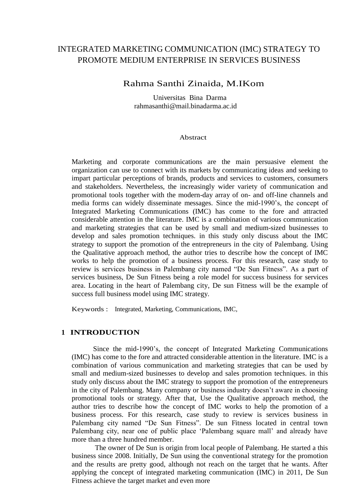## INTEGRATED MARKETING COMMUNICATION (IMC) STRATEGY TO PROMOTE MEDIUM ENTERPRISE IN SERVICES BUSINESS

## Rahma Santhi Zinaida, M.IKom

Universitas Bina Darma rahmasanthi@mail.binadarma.ac.id

#### Abstract

Marketing and corporate communications are the main persuasive element the organization can use to connect with its markets by communicating ideas and seeking to impart particular perceptions of brands, products and services to customers, consumers and stakeholders. Nevertheless, the increasingly wider variety of communication and promotional tools together with the modern-day array of on- and off-line channels and media forms can widely disseminate messages. Since the mid-1990's, the concept of Integrated Marketing Communications (IMC) has come to the fore and attracted considerable attention in the literature. IMC is a combination of various communication and marketing strategies that can be used by small and medium-sized businesses to develop and sales promotion techniques. in this study only discuss about the IMC strategy to support the promotion of the entrepreneurs in the city of Palembang. Using the Qualitative approach method, the author tries to describe how the concept of IMC works to help the promotion of a business process. For this research, case study to review is services business in Palembang city named "De Sun Fitness". As a part of services business, De Sun Fitness being a role model for success business for services area. Locating in the heart of Palembang city, De sun Fitness will be the example of success full business model using IMC strategy.

Keywords : Integrated, Marketing, Communications, IMC,

#### **1 INTRODUCTION**

Since the mid-1990's, the concept of Integrated Marketing Communications (IMC) has come to the fore and attracted considerable attention in the literature. IMC is a combination of various communication and marketing strategies that can be used by small and medium-sized businesses to develop and sales promotion techniques. in this study only discuss about the IMC strategy to support the promotion of the entrepreneurs in the city of Palembang. Many company or business industry doesn't aware in choosing promotional tools or strategy. After that, Use the Qualitative approach method, the author tries to describe how the concept of IMC works to help the promotion of a business process. For this research, case study to review is services business in Palembang city named "De Sun Fitness". De sun Fitness located in central town Palembang city, near one of public place 'Palembang square mall' and already have more than a three hundred member.

The owner of De Sun is origin from local people of Palembang. He started a this business since 2008. Initially, De Sun using the conventional strategy for the promotion and the results are pretty good, although not reach on the target that he wants. After applying the concept of integrated marketing communication (IMC) in 2011, De Sun Fitness achieve the target market and even more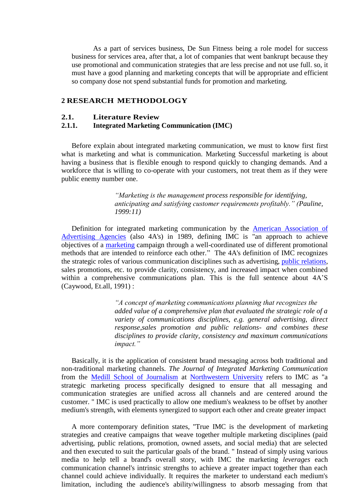As a part of services business, De Sun Fitness being a role model for success business for services area, after that, a lot of companies that went bankrupt because they use promotional and communication strategies that are less precise and not use full. so, it must have a good planning and marketing concepts that will be appropriate and efficient so company dose not spend substantial funds for promotion and marketing.

#### **2 RESEARCH METHODOLOGY**

#### **2.1. Literature Review**

#### **2.1.1. Integrated Marketing Communication (IMC)**

Before explain about integrated marketing communication, we must to know first first what is marketing and what is communication. Marketing Successful marketing is about having a business that is flexible enough to respond quickly to changing demands. And a workforce that is willing to co-operate with your customers, not treat them as if they were public enemy number one.

> *"Marketing is the management process responsible for identifying, anticipating and satisfying customer requirements profitably." (Pauline, 1999:11)*

Definition for integrated marketing communication by the [American Association of](http://en.wikipedia.org/wiki/American_Association_of_Advertising_Agencies)  [Advertising Agencies](http://en.wikipedia.org/wiki/American_Association_of_Advertising_Agencies) (also 4A's) in 1989, defining IMC is "an approach to achieve objectives of a [marketing](http://en.wikipedia.org/wiki/Marketing) campaign through a well-coordinated use of different promotional methods that are intended to reinforce each other." The 4A's definition of IMC recognizes the strategic roles of various communication disciplines such as advertising, [public relations,](http://en.wikipedia.org/wiki/Public_relations) sales promotions, etc. to provide clarity, consistency, and increased impact when combined within a comprehensive communications plan. This is the full sentence about  $4A<sup>3</sup>S$ (Caywood, Et.all, 1991) :

> *"A concept of marketing communications planning that recognizes the added value of a comprehensive plan that evaluated the strategic role of a variety of communications disciplines, e.g. general advertising, direct response,sales promotion and public relations- and combines these disciplines to provide clarity, consistency and maximum communications impact."*

Basically, it is the application of consistent brand messaging across both traditional and non-traditional marketing channels. *The Journal of Integrated Marketing Communication* from the [Medill School of Journalism](http://en.wikipedia.org/wiki/Medill_School_of_Journalism) at [Northwestern University](http://en.wikipedia.org/wiki/Northwestern_University) refers to IMC as "a strategic marketing process specifically designed to ensure that all messaging and communication strategies are unified across all channels and are centered around the customer. " IMC is used practically to allow one medium's weakness to be offset by another medium's strength, with elements synergized to support each other and create greater impact

A more contemporary definition states, "True IMC is the development of marketing strategies and creative campaigns that weave together multiple marketing disciplines (paid advertising, public relations, promotion, owned assets, and social media) that are selected and then executed to suit the particular goals of the brand. " Instead of simply using various media to help tell a brand's overall story, with IMC the marketing *leverages* each communication channel's intrinsic strengths to achieve a greater impact together than each channel could achieve individually. It requires the marketer to understand each medium's limitation, including the audience's ability/willingness to absorb messaging from that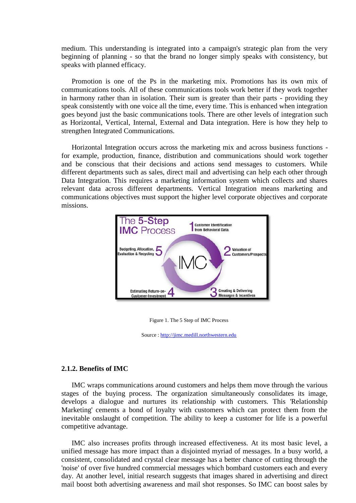medium. This understanding is integrated into a campaign's strategic plan from the very beginning of planning - so that the brand no longer simply speaks with consistency, but speaks with planned efficacy.

Promotion is one of the Ps in the marketing mix. Promotions has its own mix of communications tools. All of these communications tools work better if they work together in harmony rather than in isolation. Their sum is greater than their parts - providing they speak consistently with one voice all the time, every time. This is enhanced when integration goes beyond just the basic communications tools. There are other levels of integration such as Horizontal, Vertical, Internal, External and Data integration. Here is how they help to strengthen Integrated Communications.

Horizontal Integration occurs across the marketing mix and across business functions for example, production, finance, distribution and communications should work together and be conscious that their decisions and actions send messages to customers. While different departments such as sales, direct mail and advertising can help each other through Data Integration. This requires a marketing information system which collects and shares relevant data across different departments. Vertical Integration means marketing and communications objectives must support the higher level corporate objectives and corporate missions.



Figure 1. The 5 Step of IMC Process

Source : [http://jimc.medill.northwestern.edu](http://jimc.medill.northwestern.edu/)

#### **2.1.2. Benefits of IMC**

IMC wraps communications around customers and helps them move through the various stages of the buying process. The organization simultaneously consolidates its image, develops a dialogue and nurtures its relationship with customers. This 'Relationship Marketing' cements a bond of loyalty with customers which can protect them from the inevitable onslaught of competition. The ability to keep a customer for life is a powerful competitive advantage.

IMC also increases profits through increased effectiveness. At its most basic level, a unified message has more impact than a disjointed myriad of messages. In a busy world, a consistent, consolidated and crystal clear message has a better chance of cutting through the 'noise' of over five hundred commercial messages which bombard customers each and every day. At another level, initial research suggests that images shared in advertising and direct mail boost both advertising awareness and mail shot responses. So IMC can boost sales by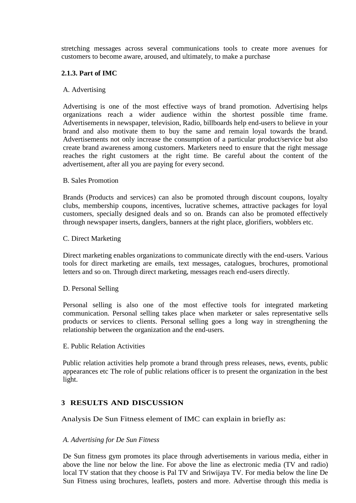stretching messages across several communications tools to create more avenues for customers to become aware, aroused, and ultimately, to make a purchase

#### **2.1.3. Part of IMC**

#### A. Advertising

Advertising is one of the most effective ways of brand promotion. Advertising helps organizations reach a wider audience within the shortest possible time frame. Advertisements in newspaper, television, Radio, billboards help end-users to believe in your brand and also motivate them to buy the same and remain loyal towards the brand. Advertisements not only increase the consumption of a particular product/service but also create brand awareness among customers. Marketers need to ensure that the right message reaches the right customers at the right time. Be careful about the content of the advertisement, after all you are paying for every second.

#### B. Sales Promotion

Brands (Products and services) can also be promoted through discount coupons, loyalty clubs, membership coupons, incentives, lucrative schemes, attractive packages for loyal customers, specially designed deals and so on. Brands can also be promoted effectively through newspaper inserts, danglers, banners at the right place, glorifiers, wobblers etc.

#### C. Direct Marketing

Direct marketing enables organizations to communicate directly with the end-users. Various tools for direct marketing are emails, text messages, catalogues, brochures, promotional letters and so on. Through direct marketing, messages reach end-users directly.

#### D. Personal Selling

Personal selling is also one of the most effective tools for integrated marketing communication. Personal selling takes place when marketer or sales representative sells products or services to clients. Personal selling goes a long way in strengthening the relationship between the organization and the end-users.

#### E. Public Relation Activities

Public relation activities help promote a brand through press releases, news, events, public appearances etc The role of public relations officer is to present the organization in the best light.

## **3 RESULTS AND DISCUSSION**

Analysis De Sun Fitness element of IMC can explain in briefly as:

#### *A. Advertising for De Sun Fitness*

De Sun fitness gym promotes its place through advertisements in various media, either in above the line nor below the line. For above the line as electronic media (TV and radio) local TV station that they choose is Pal TV and Sriwijaya TV. For media below the line De Sun Fitness using brochures, leaflets, posters and more. Advertise through this media is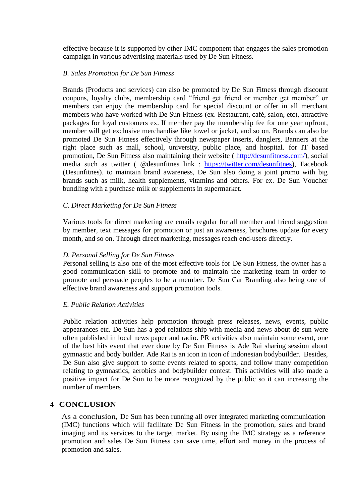effective because it is supported by other IMC component that engages the sales promotion campaign in various advertising materials used by De Sun Fitness.

### *B. Sales Promotion for De Sun Fitness*

Brands (Products and services) can also be promoted by De Sun Fitness through discount coupons, loyalty clubs, membership card "friend get friend or member get member" or members can enjoy the membership card for special discount or offer in all merchant members who have worked with De Sun Fitness (ex. Restaurant, café, salon, etc), attractive packages for loyal customers ex. If member pay the membership fee for one year upfront, member will get exclusive merchandise like towel or jacket, and so on. Brands can also be promoted De Sun Fitness effectively through newspaper inserts, danglers, Banners at the right place such as mall, school, university, public place, and hospital. for IT based promotion, De Sun Fitness also maintaining their website ( [http://desunfitness.com/\)](http://desunfitness.com/), social media such as twitter ( @desunfitnes link : [https://twitter.com/desunfitnes\)](https://twitter.com/desunfitnes), Facebook (Desunfitnes). to maintain brand awareness, De Sun also doing a joint promo with big brands such as milk, health supplements, vitamins and others. For ex. De Sun Voucher bundling with a purchase milk or supplements in supermarket.

#### *C. Direct Marketing for De Sun Fitness*

Various tools for direct marketing are emails regular for all member and friend suggestion by member, text messages for promotion or just an awareness, brochures update for every month, and so on. Through direct marketing, messages reach end-users directly.

#### *D. Personal Selling for De Sun Fitness*

Personal selling is also one of the most effective tools for De Sun Fitness, the owner has a good communication skill to promote and to maintain the marketing team in order to promote and persuade peoples to be a member. De Sun Car Branding also being one of effective brand awareness and support promotion tools.

#### *E. Public Relation Activities*

Public relation activities help promotion through press releases, news, events, public appearances etc. De Sun has a god relations ship with media and news about de sun were often published in local news paper and radio. PR activities also maintain some event, one of the best hits event that ever done by De Sun Fitness is Ade Rai sharing session about gymnastic and body builder. Ade Rai is an icon in icon of Indonesian bodybuilder. Besides, De Sun also give support to some events related to sports, and follow many competition relating to gymnastics, aerobics and bodybuilder contest. This activities will also made a positive impact for De Sun to be more recognized by the public so it can increasing the number of members

## **4 CONCLUSION**

As a conclusion, De Sun has been running all over integrated marketing communication (IMC) functions which will facilitate De Sun Fitness in the promotion, sales and brand imaging and its services to the target market. By using the IMC strategy as a reference promotion and sales De Sun Fitness can save time, effort and money in the process of promotion and sales.